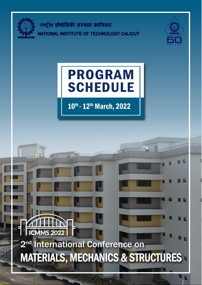

**ICMMS 2022** 

2<sup>nd</sup> International Conference on

**MATERIALS, MECHANICS & STRUCTURES** 

राष्ट्रीय प्रौद्योगिकी संस्थान कालिकट NATIONAL INSTITUTE OF TECHNOLOGY CALICUT



E

# **PROGRAM SCHEDULE**

10th - 12th March, 2022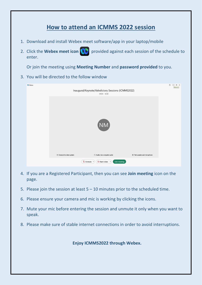## **How to attend an ICMMS 2022 session**

- 1. Download and install Webex meet software/app in your laptop/mobile
- 2. Click the **Webex meet icon (1)** provided against each session of the schedule to enter.

Or join the meeting using **Meeting Number** and **password provided** to you.

3. You will be directed to the follow window

| <b>CD</b> Webex |                           | Inaugural/Keynote/Valedictory Sessions (ICMMS2022)<br>09:00 - 18:00                  |                               | $_{\odot}$<br>$\overline{\phantom{a}}$<br>$\Box$ $\times$<br>Minimize |
|-----------------|---------------------------|--------------------------------------------------------------------------------------|-------------------------------|-----------------------------------------------------------------------|
|                 |                           |                                                                                      |                               |                                                                       |
|                 |                           | NM                                                                                   |                               |                                                                       |
|                 | © Connect to video system | Audio: Use computer audio                                                            | @ Test speaker and microphone |                                                                       |
|                 |                           | $\mathcal{L}$ Unmute $\checkmark$<br>$\mathbb{Q}$ Start video $\vee$<br>Join meeting |                               |                                                                       |

- 4. If you are a Registered Participant, then you can see **Join meeting** icon on the page.
- 5. Please join the session at least  $5 10$  minutes prior to the scheduled time.
- 6. Please ensure your camera and mic is working by clicking the icons.
- 7. Mute your mic before entering the session and unmute it only when you want to speak.
- 8. Please make sure of stable internet connections in order to avoid interruptions.

**Enjoy ICMMS2022 through Webex.**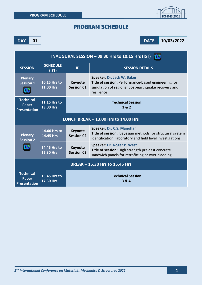

#### PROGRAM SCHEDULE

**DAY 01 DATE 10/03/2022**

| <b>INAUGURAL SESSION - 09.30 Hrs to 10.15 Hrs (IST)</b> |                                                                |                                     |                                                                                                                                                        |
|---------------------------------------------------------|----------------------------------------------------------------|-------------------------------------|--------------------------------------------------------------------------------------------------------------------------------------------------------|
| <b>SESSION</b>                                          | <b>SCHEDULE</b><br>(IST)                                       | ID                                  | <b>SESSION DETAILS</b>                                                                                                                                 |
| <b>Plenary</b><br><b>Session 1</b>                      | 10.15 Hrs to<br><b>11.00 Hrs</b>                               | <b>Keynote</b><br><b>Session 01</b> | Speaker: Dr. Jack W. Baker<br>Title of session: Performance-based engineering for<br>simulation of regional post-earthquake recovery and<br>resilience |
| <b>Technical</b><br>Paper<br><b>Presentation</b>        | 11.15 Hrs to<br>13.00 Hrs                                      | <b>Technical Session</b><br>1& 2    |                                                                                                                                                        |
| LUNCH BREAK - 13.00 Hrs to 14.00 Hrs                    |                                                                |                                     |                                                                                                                                                        |
| <b>Plenary</b><br><b>Session 2</b>                      | 14.00 Hrs to<br>14.45 Hrs                                      | <b>Keynote</b><br><b>Session 02</b> | Speaker: Dr. C.S. Manohar<br>Title of session: Bayesian methods for structural system<br>identification: laboratory and field level investigations     |
|                                                         | 14.45 Hrs to<br>15.30 Hrs                                      | <b>Keynote</b><br><b>Session 03</b> | Speaker: Dr. Roger P. West<br>Title of session: High strength pre-cast concrete<br>sandwich panels for retrofitting or over-cladding                   |
| <b>BREAK - 15.30 Hrs to 15.45 Hrs</b>                   |                                                                |                                     |                                                                                                                                                        |
| <b>Technical</b><br>Paper<br><b>Presentation</b>        | 15.45 Hrs to<br><b>Technical Session</b><br>17.30 Hrs<br>3 & 4 |                                     |                                                                                                                                                        |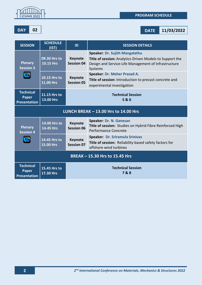

**DAY 02 DATE 11/03/2022**

| <b>SESSION</b>                                          | <b>SCHEDULE</b><br>(IST)                                     | ID                                  | <b>SESSION DETAILS</b>                                                                                                                                               |
|---------------------------------------------------------|--------------------------------------------------------------|-------------------------------------|----------------------------------------------------------------------------------------------------------------------------------------------------------------------|
| <b>Plenary</b><br><b>Session 3</b>                      | 09.30 Hrs to<br>10.15 Hrs                                    | <b>Keynote</b><br><b>Session 04</b> | <b>Speaker: Dr. Sujith Mangalathu</b><br>Title of session: Analytics-Driven Models to Support the<br>Design and Service-Life Management of Infrastructure<br>Systems |
| œ                                                       | 10.15 Hrs to<br><b>11.00 Hrs</b>                             | <b>Keynote</b><br><b>Session 05</b> | Speaker: Dr. Meher Prasad A.<br>Title of session: Introduction to precast concrete and<br>experimental investigation                                                 |
| <b>Technical</b><br>Paper<br><b>Presentation</b>        | 11.15 Hrs to<br>13.00 Hrs                                    |                                     | <b>Technical Session</b><br>5&6                                                                                                                                      |
| LUNCH BREAK - 13.00 Hrs to 14.00 Hrs                    |                                                              |                                     |                                                                                                                                                                      |
| <b>Plenary</b><br><b>Session 4</b>                      | 14.00 Hrs to<br>14.45 Hrs                                    | <b>Keynote</b><br><b>Session 06</b> | Speaker: Dr. N. Ganesan<br>Title of session: Studies on Hybrid Fibre Reinforced High<br><b>Performance Concrete</b>                                                  |
| OD                                                      | 14.45 Hrs to<br><b>15.00 Hrs</b>                             | <b>Keynote</b><br><b>Session 07</b> | Speaker: Dr. Sriramula Srinivas<br>Title of session: Reliability based safety factors for<br>offshore wind turbines                                                  |
| <b>BREAK - 15.30 Hrs to 15.45 Hrs</b>                   |                                                              |                                     |                                                                                                                                                                      |
| <b>Technical</b><br><b>Paper</b><br><b>Presentation</b> | <b>Technical Session</b><br>15.45 Hrs to<br>7&8<br>17.30 Hrs |                                     |                                                                                                                                                                      |

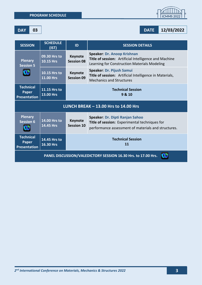

**DAY 03 DATE 12/03/2022**

| <b>SESSION</b>                                          | <b>SCHEDULE</b><br>(IST)         | ID                                  | <b>SESSION DETAILS</b>                                                                                                                  |
|---------------------------------------------------------|----------------------------------|-------------------------------------|-----------------------------------------------------------------------------------------------------------------------------------------|
| <b>Plenary</b><br><b>Session 5</b>                      | 09.30 Hrs to<br><b>10.15 Hrs</b> | <b>Keynote</b><br><b>Session 08</b> | Speaker: Dr. Anoop Krishnan<br>Title of session: Artificial Intelligence and Machine<br>Learning for Construction Materials Modeling    |
|                                                         | 10.15 Hrs to<br><b>11.00 Hrs</b> | <b>Keynote</b><br><b>Session 09</b> | Speaker: Dr. Pijush Samui<br>Title of session: Artificial Intelligence in Materials,<br><b>Mechanics and Structures</b>                 |
| <b>Technical</b><br><b>Paper</b><br><b>Presentation</b> | 11.15 Hrs to<br>13.00 Hrs        | <b>Technical Session</b><br>9 & 10  |                                                                                                                                         |
| LUNCH BREAK - 13.00 Hrs to 14.00 Hrs                    |                                  |                                     |                                                                                                                                         |
|                                                         |                                  |                                     |                                                                                                                                         |
| <b>Plenary</b><br><b>Session 6</b>                      | 14.00 Hrs to<br><b>14.45 Hrs</b> | <b>Keynote</b><br>Session 10        | Speaker: Dr. Dipti Ranjan Sahoo<br>Title of session: Experimental techniques for<br>performance assessment of materials and structures. |
| <b>Technical</b><br>Paper<br><b>Presentation</b>        | 14.45 Hrs to<br>16.30 Hrs        |                                     | <b>Technical Session</b><br>11                                                                                                          |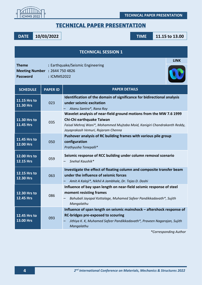

**TECHNICAL PAPER PRESENTATION**

### TECHNICAL PAPER PRESENTATION

**DATE 10/03/2022 TIME 11.15 to 13.00**

| <b>TECHNICAL SESSION 1</b>                                               |                 |                                                                                                                                                                                                                   |  |
|--------------------------------------------------------------------------|-----------------|-------------------------------------------------------------------------------------------------------------------------------------------------------------------------------------------------------------------|--|
| <b>Theme</b><br><b>Meeting Number : 2644 750 4826</b><br><b>Password</b> | : ICMMS2022     | <b>LINK</b><br>: Earthquake/Seismic Engineering                                                                                                                                                                   |  |
| <b>SCHEDULE</b>                                                          | <b>PAPER ID</b> | <b>PAPER DETAILS</b>                                                                                                                                                                                              |  |
| 11.15 Hrs to<br>11.30 Hrs                                                | 023             | Identification of the domain of significance for bidirectional analysis<br>under seismic excitation<br>Atanu Santra*, Rana Roy                                                                                    |  |
| 11.30 Hrs to<br>11.45 Hrs                                                | 035             | Wavelet analysis of near-field ground motions from the MW 7.6 1999<br>Chi-Chi earthquake Taiwan<br>Faisal Mehraj Wani*, Mohammed Mujtaba Moid, Kanigiri Chandrakanth Reddy,<br>Jayaprakash Vemuri, Rajaram Chenna |  |
| 11.45 Hrs to<br>12.00 Hrs                                                | 050             | Pushover analysis of RC building frames with various pile group<br>configuration<br>Prathyusha Tenepalli*                                                                                                         |  |
| 12.00 Hrs to<br>12.15 Hrs                                                | 059             | Seismic response of RCC building under column removal scenario<br>Snehal Kaushik*                                                                                                                                 |  |
| 12.15 Hrs to<br>12.30 Hrs                                                | 063             | Investigate the effect of floating column and composite transfer beam<br>under the influence of seismic forces<br>Amit A Kaloji*, Nikhil A Jambhale, Dr. Tejas D. Doshi                                           |  |
| 12.30 Hrs to<br><b>12.45 Hrs</b>                                         | 086             | Influence of bay span length on near-field seismic response of steel<br>moment resisting frames<br>Bahubali Jayapal Kottalage, Muhamed Safeer Pandikkadavath*, Sujith<br>Mangalathu                               |  |
| 12.45 Hrs to<br>13.00 Hrs                                                | 093             | Influence of span length on seismic mainshock - aftershock response of<br><b>RC-bridges pre-exposed to scouring</b><br>Jithiya K. K, Muhamed Safeer Pandikkadavath*, Praveen Nagarajan, Sujith<br>Mangalathu      |  |

*\*Corresponding Author*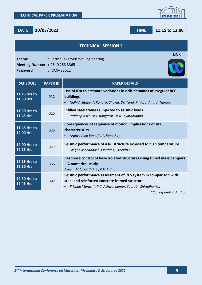|                                                                   |                 | <b>TECHNICAL SESSION 2</b>                                                                                                                                                     |
|-------------------------------------------------------------------|-----------------|--------------------------------------------------------------------------------------------------------------------------------------------------------------------------------|
| <b>Theme</b><br>Meeting Number : 2640 253 3365<br><b>Password</b> | : ICMMS2022     | <b>LINK</b><br>: Earthquake/Seismic Engineering                                                                                                                                |
| <b>SCHEDULE</b>                                                   | <b>PAPER ID</b> | <b>PAPER DETAILS</b>                                                                                                                                                           |
| 11.15 Hrs to<br>11.30 Hrs                                         | 012             | Use of IDA to estimate variations in drift demands of irregular RCC<br>buildings<br>Nidhi J. Sitapra*, Kunal P. Shukla, Dr. Tarak P. Vora, Amit J. Thoriya                     |
| 11.30 Hrs to<br>11.45 Hrs                                         | 015             | Infilled steel frames subjected to seismic loads<br>Pradeep A R*, Dr.C Rangaraj, Dr.N Jayaramappa                                                                              |
| 11.45 Hrs to<br>12.00 Hrs                                         | 025             | Consequences of sequence of motion. implications of site<br>characteristics<br>Arghyadeep Banerjee*, Rana Roy                                                                  |
| 12.00 Hrs to<br>12.15 Hrs                                         | 027             | Seismic performance of a RC structure exposed to high temperature<br>Megha Mohandas*, Cinitha A, Sreejith K                                                                    |
| 12.15 Hrs to<br>12.30 Hrs                                         | 065             | Response control of base isolated structures using tuned mass dampers<br>- A numerical study<br>Azeem M.*, Sajith A.S., P.V. Indira                                            |
| 12.30 Hrs to<br><b>12.45 Hrs</b>                                  | 092             | Seismic performance assessment of RCS system in comparison with<br>steel and reinforced concrete framed structure<br>Krishna Murari *, P.C. Ashwin Kumar, Saurabh Shiradhonkar |



**DATE 10/03/2022 TIME 11.15 to 13.00**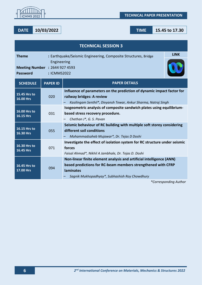

#### **DATE 10/03/2022 TIME 15.45 to 17.30**

| <b>TECHNICAL SESSION 3</b>                        |                                                                               |                                                                                                                                                                                                            |  |  |
|---------------------------------------------------|-------------------------------------------------------------------------------|------------------------------------------------------------------------------------------------------------------------------------------------------------------------------------------------------------|--|--|
| <b>Theme</b>                                      | <b>LINK</b><br>: Earthquake/Seismic Engineering, Composite Structures, Bridge |                                                                                                                                                                                                            |  |  |
| <b>Meeting Number : 2644 927 4593</b><br>Password | Engineering<br>: ICMMS2022                                                    |                                                                                                                                                                                                            |  |  |
| <b>SCHEDULE</b>                                   | <b>PAPER ID</b>                                                               | <b>PAPER DETAILS</b>                                                                                                                                                                                       |  |  |
| 15.45 Hrs to<br>16.00 Hrs                         | 020                                                                           | Influence of parameters on the prediction of dynamic impact factor for<br>railway bridges: A review<br>Kasilingam Senthil*, Divyansh Tewar, Ankur Sharma, Natraj Singh                                     |  |  |
| 16.00 Hrs to<br>16.15 Hrs                         | 031                                                                           | Isogeometric analysis of composite sandwich plates using equilibrium-<br>based stress recovery procedure.<br>Chethan J*, G. S. Pavan                                                                       |  |  |
| 16.15 Hrs to<br>16.30 Hrs                         | 055                                                                           | Seismic behaviour of RC building with multiple soft storey considering<br>different soil conditions<br>Mohammadsaheb Mujawar*, Dr. Tejas D Doshi                                                           |  |  |
| 16.30 Hrs to<br>16.45 Hrs                         | 071                                                                           | Investigate the effect of isolation system for RC structure under seismic<br>forces<br>Faisal Ahmad*, Nikhil A Jambhale, Dr. Tejas D. Doshi                                                                |  |  |
| 16.45 Hrs to<br>17.00 Hrs                         | 094                                                                           | Non-linear finite element analysis and artificial intelligence (ANN)<br>based predictions for RC-beam members strengthened with CFRP<br><b>laminates</b><br>Sagnik Mukhopadhyay*, Subhashish Roy Chowdhury |  |  |

*\*Corresponding Author*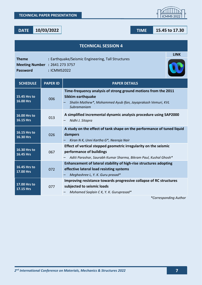$$
10/03/2022
$$

| Theme<br><b>Meeting Number : 2641 273 3757</b><br><b>Password</b> | : ICMMS2022     | : Earthquake/Seismic Engineering, Tall Structures                                                                                                                        |
|-------------------------------------------------------------------|-----------------|--------------------------------------------------------------------------------------------------------------------------------------------------------------------------|
| <b>SCHEDULE</b>                                                   | <b>PAPER ID</b> | <b>PAPER DETAILS</b>                                                                                                                                                     |
| 15.45 Hrs to<br>16.00 Hrs                                         | 006             | Time-frequency analysis of strong ground motions from the 2011<br><b>Sikkim earthquake</b><br>Shalin Mathew*, Mohammed Ayub Ifan, Jayaprakash Vemuri, KVL<br>Subramaniam |
| 16.00 Hrs to<br><b>16.15 Hrs</b>                                  | 013             | A simplified incremental dynamic analysis procedure using SAP2000<br>Nidhi J. Sitapra                                                                                    |
| 16.15 Hrs to<br>16.30 Hrs                                         | 026             | A study on the effect of tank shape on the performance of tuned liquid<br>dampers<br>Kiran N K, Unni Kartha G*, Neeraja Nair                                             |
| 16.30 Hrs to<br>16.45 Hrs                                         | 067             | Effect of vertical stepped geometric irregularity on the seismic<br>performance of buildings<br>Aditi Parashar, Saurabh Kumar Sharma, Bikram Paul, Kushal Ghosh*         |
| 16.45 Hrs to<br>17.00 Hrs                                         | 072             | Enhancement of lateral stability of high-rise structures adopting<br>effective lateral load resisting systems<br>Meghashree L, Y. K. Guru prasad*                        |
| 17.00 Hrs to<br><b>17.15 Hrs</b>                                  | 077             | Improving resistance towards progressive collapse of RC structures<br>subjected to seismic loads<br>$14.1.$ $16.16.$                                                     |

**TECHNICAL SESSION 4**

– *Mohamed Saqlain C K, Y. K. Guruprasad\**

*\*Corresponding Author*



**LINK**

**DATE 10/03/2022 TIME 15.45 to 17.30**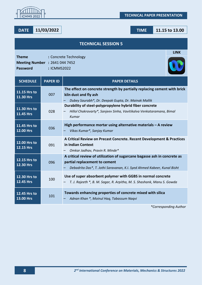

|                                                                          |                 | <b>TECHNICAL SESSION 5</b>                                                                                                                                                           |
|--------------------------------------------------------------------------|-----------------|--------------------------------------------------------------------------------------------------------------------------------------------------------------------------------------|
| <b>Theme</b><br><b>Meeting Number : 2641 044 7452</b><br><b>Password</b> | : ICMMS2022     | <b>LINK</b><br>: Concrete Technology                                                                                                                                                 |
| <b>SCHEDULE</b>                                                          | <b>PAPER ID</b> | <b>PAPER DETAILS</b>                                                                                                                                                                 |
| 11.15 Hrs to<br>11.30 Hrs                                                | 007             | The effect on concrete strength by partially replacing cement with brick<br>kiln dust and fly ash<br>Dubey Saurabh*, Dr. Deepak Gupta, Dr. Mainak Mallik                             |
| 11.30 Hrs to<br>11.45 Hrs                                                | 028             | Durability of steel-polypropylene hybrid fiber concrete<br>Hillol Chakravarty*, Sanjeev Sinha, Vavitikalva Venkataramana, Bimal<br>Kumar                                             |
| 11.45 Hrs to<br>12.00 Hrs                                                | 036             | High performance mortar using alternative materials - A review<br>Vikas Kumar*, Sanjay Kumar                                                                                         |
| 12.00 Hrs to<br>12.15 Hrs                                                | 091             | A Critical Review on Precast Concrete. Recent Development & Practices<br>in Indian Context<br>Omkar Jadhav, Pravin R. Minde*                                                         |
| 12.15 Hrs to<br>12.30 Hrs                                                | 096             | A critical review of utilization of sugarcane bagasse ash in concrete as<br>partial replacement to cement<br>Debadrita Das*, T. Jothi Saravanan, K.I. Syed Ahmed Kabeer, Kunal Bisht |
| 12.30 Hrs to<br><b>12.45 Hrs</b>                                         | 100             | Use of super absorbent polymer with GGBS in normal concrete<br>T. J. Rajeeth *, B. M. Sagar, R. Arpitha, M. S. Shashank, Manu S. Gowda                                               |
| 12.45 Hrs to<br>13.00 Hrs                                                | 101             | Towards enhancing properties of concrete mixed with silica<br>Adnan Khan *, Moinul Haq, Tabassum Naqvi                                                                               |



#### **DATE 11/03/2022 TIME 11.15 to 13.00**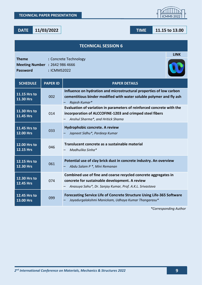|                                                                          |                 | <b>TECHNICAL SESSION 6</b>                                                                                                                                                    |
|--------------------------------------------------------------------------|-----------------|-------------------------------------------------------------------------------------------------------------------------------------------------------------------------------|
| <b>Theme</b><br><b>Meeting Number : 2642 986 4666</b><br><b>Password</b> | : ICMMS2022     | <b>LINK</b><br>: Concrete Technology                                                                                                                                          |
| <b>SCHEDULE</b>                                                          | <b>PAPER ID</b> | <b>PAPER DETAILS</b>                                                                                                                                                          |
| 11.15 Hrs to<br>11.30 Hrs                                                | 002             | Influence on hydration and microstructural properties of low carbon<br>cementitious binder modified with water soluble polymer and fly ash<br>Rajesh Kumar*                   |
| 11.30 Hrs to<br>11.45 Hrs                                                | 014             | Evaluation of variation in parameters of reinforced concrete with the<br>incorporation of ALCCOFINE-1203 and crimped steel fibers<br>Anshul Sharma*, and Hritick Shama        |
| 11.45 Hrs to<br>12.00 Hrs                                                | 033             | Hydrophobic concrete. A review<br>Japneet Sidhu*, Pardeep Kumar                                                                                                               |
| 12.00 Hrs to<br><b>12.15 Hrs</b>                                         | 046             | Translucent concrete as a sustainable material<br>Madhulika Sinha*                                                                                                            |
| 12.15 Hrs to<br>12.30 Hrs                                                | 061             | Potential use of clay brick dust in concrete industry. An overview<br>Abdu Salam P *, Mini Remanan                                                                            |
| 12.30 Hrs to<br><b>12.45 Hrs</b>                                         | 074             | Combined use of fine and coarse recycled concrete aggregates in<br>concrete for sustainable development. A review<br>Anasuya Sahu*, Dr. Sanjay Kumar, Prof. A.K.L. Srivastava |
| 12.45 Hrs to<br>13.00 Hrs                                                | 099             | Forecasting Service Life of Concrete Structure Using Life-365 Software<br>Jayadurgalakshmi Manickam, Udhaya Kumar Thangarasu*                                                 |



**DATE 11/03/2022 TIME 11.15 to 13.00**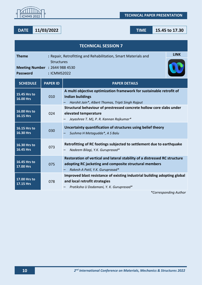

**DATE 11/03/2022 TIME 15.45 to 17.30**

| <b>TECHNICAL SESSION 7</b>                                                                                                                                                                    |                 |                                                                                                                                                                                    |  |
|-----------------------------------------------------------------------------------------------------------------------------------------------------------------------------------------------|-----------------|------------------------------------------------------------------------------------------------------------------------------------------------------------------------------------|--|
| <b>LINK</b><br><b>Theme</b><br>: Repair, Retrofitting and Rehabilitation, Smart Materials and<br><b>Structures</b><br><b>Meeting Number : 2644 988 4530</b><br><b>Password</b><br>: ICMMS2022 |                 |                                                                                                                                                                                    |  |
| <b>SCHEDULE</b>                                                                                                                                                                               | <b>PAPER ID</b> | <b>PAPER DETAILS</b>                                                                                                                                                               |  |
| 15.45 Hrs to<br>16.00 Hrs                                                                                                                                                                     | 010             | A multi objective optimization framework for sustainable retrofit of<br><b>Indian buildings</b><br>Harshit Jain*, Albert Thomas, Tripti Singh Rajput                               |  |
| 16.00 Hrs to<br>16.15 Hrs                                                                                                                                                                     | 024             | Structural behaviour of prestressed concrete hollow core slabs under<br>elevated temperature<br>Jeyashree T. M), P. R. Kannan Rajkumar*                                            |  |
| 16.15 Hrs to<br>16.30 Hrs                                                                                                                                                                     | 030             | Uncertainty quantification of structures using belief theory<br>Sushma H Metagudda*, A S Balu                                                                                      |  |
| 16.30 Hrs to<br><b>16.45 Hrs</b>                                                                                                                                                              | 073             | Retrofitting of RC footings subjected to settlement due to earthquake<br>Nadeem Bilagi, Y.K. Guruprasad*                                                                           |  |
| 16.45 Hrs to<br>17.00 Hrs                                                                                                                                                                     | 075             | Restoration of vertical and lateral stability of a distressed RC structure<br>adopting RC jacketing and composite structural members<br>Rakesh A Patil, Y.K. Guruprasad*           |  |
| 17.00 Hrs to<br>17.15 Hrs                                                                                                                                                                     | 078             | Improved blast resistance of existing industrial building adopting global<br>and local retrofit strategies<br>Pratiksha U Dodamani, Y. K. Guruprasad*<br>$*$ Cannannamatina Aiithe |  |

*\*Corresponding Author*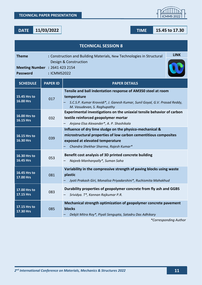**DATE 11/03/2022 TIME 15.45 to 17.30**

| <b>Theme</b><br>Meeting Number : 2641 423 2154<br><b>Password</b> | : ICMMS2022     | <b>LINK</b><br>: Construction and Building Materials, New Technologies in Structural<br>Design & Construction                                                                                            |
|-------------------------------------------------------------------|-----------------|----------------------------------------------------------------------------------------------------------------------------------------------------------------------------------------------------------|
| <b>SCHEDULE</b>                                                   | <b>PAPER ID</b> | <b>PAPER DETAILS</b>                                                                                                                                                                                     |
| 15.45 Hrs to<br><b>16.00 Hrs</b>                                  | 017             | Tensile and ball indentation response of AM350 steel at room<br>temperature<br>S.C.S.P. Kumar Krovvidi*, J. Ganesh Kumar, Sunil Goyal, G.V. Prasad Reddy,<br>M. Vasudevan, S. Raghupathy                 |
| 16.00 Hrs to<br><b>16.15 Hrs</b>                                  | 032             | Experimental investigations on the uniaxial tensile behavior of carbon<br>textile reinforced geopolymer mortar<br>Anjana Elsa Alexander*, A. P. Shashikala                                               |
| 16.15 Hrs to<br>16.30 Hrs                                         | 039             | Influence of dry lime sludge on the physico-mechanical &<br>microstructural properties of low carbon cementitious composites<br>exposed at elevated temperature<br>Chandra Shekhar Sharma, Rajesh Kumar* |
| 16.30 Hrs to<br>16.45 Hrs                                         | 053             | Benefit cost analysis of 3D printed concrete building<br>Najeeb Manhanpally*, Suman Saha                                                                                                                 |
| 16.45 Hrs to<br>17.00 Hrs                                         | 081             | Variability in the compressive strength of paving blocks using waste<br>plastic<br>Jyoti Prakash Giri, Monalisa Priyadarshini*, Ruchismita Mahakhud                                                      |
| 17.00 Hrs to<br>17.15 Hrs                                         | 083             | Durability properties of geopolymer concrete from fly ash and GGBS<br>Srividya. T*, Kannan Rajkumar P.R.                                                                                                 |
| 17.15 Hrs to<br>17.30 Hrs                                         | 085             | Mechanical strength optimization of geopolymer concrete pavement<br>blocks<br>Debjit Mitra Roy*, Piyali Sengupta, Satadru Das Adhikary                                                                   |
|                                                                   |                 | *Corresponding Author                                                                                                                                                                                    |

**TECHNICAL SESSION 8**

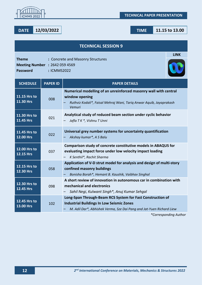



|  | TIME |  |
|--|------|--|
|  |      |  |

| <b>TECHNICAL SESSION 9</b>                                                                                                                  |                 |                                                                                                                                                                                                                     |  |
|---------------------------------------------------------------------------------------------------------------------------------------------|-----------------|---------------------------------------------------------------------------------------------------------------------------------------------------------------------------------------------------------------------|--|
| <b>LINK</b><br><b>Theme</b><br>: Concrete and Masonry Structures<br><b>Meeting Number : 2642 059 4569</b><br><b>Password</b><br>: ICMMS2022 |                 |                                                                                                                                                                                                                     |  |
| <b>SCHEDULE</b>                                                                                                                             | <b>PAPER ID</b> | <b>PAPER DETAILS</b>                                                                                                                                                                                                |  |
| 11.15 Hrs to<br>11.30 Hrs                                                                                                                   | 008             | Numerical modelling of an unreinforced masonry wall with central<br>window opening<br>Ruthviz Kodali*, Faisal Mehraj Wani, Tariq Anwar Aquib, Jayaprakash<br>Vemuri                                                 |  |
| 11.30 Hrs to<br>11.45 Hrs                                                                                                                   | 021             | Analytical study of reduced beam section under cyclic behavior<br>Jafla T K *, Vishnu T Unni                                                                                                                        |  |
| 11.45 Hrs to<br>12.00 Hrs                                                                                                                   | 022             | Universal grey number systems for uncertainty quantification<br>Akshay kumar*, A S Balu                                                                                                                             |  |
| 12.00 Hrs to<br>12.15 Hrs                                                                                                                   | 037             | Comparison study of concrete constitutive models in ABAQUS for<br>evaluating impact force under low velocity impact loading<br>K Senthil*, Rachit Sharma                                                            |  |
| 12.15 Hrs to<br>12.30 Hrs                                                                                                                   | 058             | Application of V-D strut model for analysis and design of multi-story<br>confined masonry buildings<br>Bonisha Borah*, Hemant B. Kaushik, Vaibhav Singhal                                                           |  |
| 12.30 Hrs to<br>12.45 Hrs                                                                                                                   | 098             | A short review of innovation in autonomous car in combination with<br>mechanical and electronics<br>Sahil Negi, Kulwant Singh*, Anuj Kumar Sehgal                                                                   |  |
| 12.45 Hrs to<br>13.00 Hrs                                                                                                                   | 102             | Long-Span Through-Beam RCS System for Fast Construction of<br><b>Industrial Buildings In Low Seismic Zones</b><br>M. Adil Dar*, Abhishek Verma, Sze Dai Pang and Jat-Yuen Richard Liew<br>$*$ Cannaguagulian Authau |  |



#### **DATE 12/03/2022 TIME 11.15 to 13.00**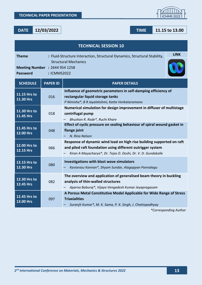**DATE 12/03/2022 TIME 11.15 to 13.00**

| <b>TECHNICAL SESSION 10</b>                                             |                                                                                                                         |                                                                                                                                                                                                      |  |
|-------------------------------------------------------------------------|-------------------------------------------------------------------------------------------------------------------------|------------------------------------------------------------------------------------------------------------------------------------------------------------------------------------------------------|--|
| <b>Theme</b>                                                            | <b>LINK</b><br>: Fluid-Structure Interaction, Structural Dynamics, Structural Stability,<br><b>Structural Mechanics</b> |                                                                                                                                                                                                      |  |
| <b>Meeting Number : 2644 954 1258</b><br><b>Password</b><br>: ICMMS2022 |                                                                                                                         |                                                                                                                                                                                                      |  |
| <b>SCHEDULE</b>                                                         | <b>PAPER ID</b>                                                                                                         | <b>PAPER DETAILS</b>                                                                                                                                                                                 |  |
| 11.15 Hrs to<br>11.30 Hrs                                               | 016                                                                                                                     | Influence of geometric parameters in self-damping efficiency of<br>rectangular liquid storage tanks<br>P Nimisha*, B R Jayalekshmi, Katta Venkataramana                                              |  |
| 11.30 Hrs to<br>11.45 Hrs                                               | 018                                                                                                                     | Numerical simulation for design improvement in diffuser of multistage<br>centrifugal pump<br>Bhushan R. Rode*, Ruchi Khare                                                                           |  |
| 11.45 Hrs to<br>12.00 Hrs                                               | 048                                                                                                                     | Effect of cyclic pressure on sealing behaviour of spiral wound gasket in<br>flange joint<br>N. Rino Nelson                                                                                           |  |
| 12.00 Hrs to<br><b>12.15 Hrs</b>                                        | 066                                                                                                                     | Response of dynamic wind load on high rise building supported on raft<br>and piled raft foundation using different outrigger system<br>Kiran A Mayacharya*, Dr. Tejas D. Doshi, Dr. V. D. Gundakalle |  |
| 12.15 Hrs to<br>12.30 Hrs                                               | 080                                                                                                                     | <b>Investigations with blast wave simulators</b><br>Kaviarasu Kannan*, Shyam Sundar, Alagappan Ponnalagu                                                                                             |  |
| 12.30 Hrs to<br>12.45 Hrs                                               | 082                                                                                                                     | The overview and application of generalised beam theory in buckling<br>analysis of thin-walled structures<br>Aparna Baburaj*, Vijaya Vengadesh Kumar Jeyapragasam                                    |  |
| 12.45 Hrs to<br>13.00 Hrs                                               | 097                                                                                                                     | A Porous Metal Constitutive Model Applicable for Wide Range of Stress<br><b>Triaxialities</b><br>Suranjit Kumar*, M. K. Sama, P. K. Singh, J. Chattopadhyay                                          |  |
|                                                                         |                                                                                                                         | *Corresponding Author                                                                                                                                                                                |  |

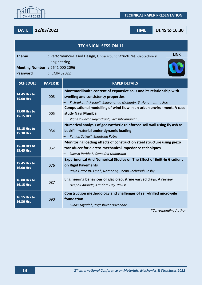

**DATE 12/03/2022 TIME 14.45 to 16.30**

| <b>TECHNICAL SESSION 11</b>                                                     |                                                                                 |                                                                                                                                                                            |  |
|---------------------------------------------------------------------------------|---------------------------------------------------------------------------------|----------------------------------------------------------------------------------------------------------------------------------------------------------------------------|--|
| <b>Theme</b>                                                                    | <b>LINK</b><br>: Performance-Based Design, Underground Structures, Geotechnical |                                                                                                                                                                            |  |
| engineering<br>Meeting Number : 2641 000 2096<br><b>Password</b><br>: ICMMS2022 |                                                                                 |                                                                                                                                                                            |  |
| <b>SCHEDULE</b>                                                                 | <b>PAPER ID</b>                                                                 | <b>PAPER DETAILS</b>                                                                                                                                                       |  |
| 14.45 Hrs to<br>15.00 Hrs                                                       | 003                                                                             | Montmorillonite content of expansive soils and its relationship with<br>swelling and consistency properties<br>P. Sreekanth Reddy*, Bijayananda Mohanty, B. Hanumantha Rao |  |
| 15.00 Hrs to<br>15.15 Hrs                                                       | 005                                                                             | Computational modelling of wind flow in an urban environment. A case<br>study Navi Mumbai<br>Vigneshwaran Rajendran*, Sivasubramanian J                                    |  |
| 15.15 Hrs to<br>15.30 Hrs                                                       | 034                                                                             | Numerical analysis of geosynthetic reinforced soil wall using fly ash as<br>backfill material under dynamic loading<br>Kunjan Saikia*, Shantanu Patra                      |  |
| 15.30 Hrs to<br>15.45 Hrs                                                       | 052                                                                             | Monitoring loading effects of construction steel structure using piezo<br>transducer for electro-mechanical impedance techniques<br>Lukesh Parida *, Sumedha Moharana      |  |
| 15.45 Hrs to<br>16.00 Hrs                                                       | 076                                                                             | <b>Experimental And Numerical Studies on The Effect of Built-In Gradient</b><br>on Rigid Pavements<br>Priya Grace Itti Eipe*, Nazeer M, Reebu Zachariah Koshy              |  |
| 16.00 Hrs to<br>16.15 Hrs                                                       | 087                                                                             | Engineering behaviour of glaciolacustrine varved clays. A review<br>Deepali Anand*, Arindam Dey, Ravi K                                                                    |  |
| 16.15 Hrs to<br>16.30 Hrs                                                       | 090                                                                             | Construction methodology and challenges of self-drilled micro-pile<br>foundation<br>Suhas Tayade*, Yogeshwar Navandar                                                      |  |
|                                                                                 |                                                                                 | *Corresponding Author                                                                                                                                                      |  |